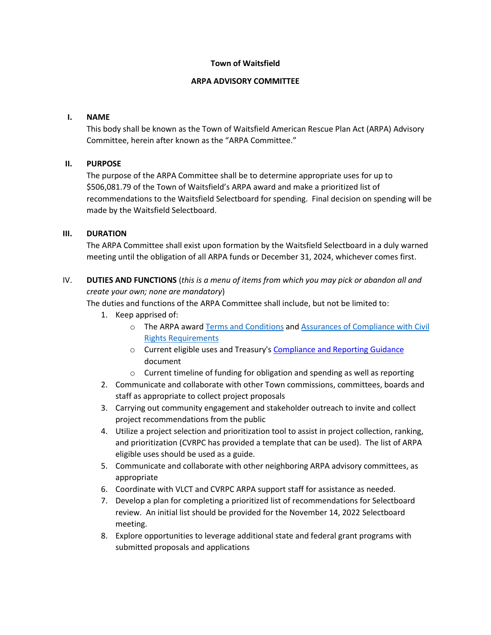### **Town of Waitsfield**

### **ARPA ADVISORY COMMITTEE**

## **I. NAME**

This body shall be known as the Town of Waitsfield American Rescue Plan Act (ARPA) Advisory Committee, herein after known as the "ARPA Committee."

## **II. PURPOSE**

The purpose of the ARPA Committee shall be to determine appropriate uses for up to \$506,081.79 of the Town of Waitsfield's ARPA award and make a prioritized list of recommendations to the Waitsfield Selectboard for spending. Final decision on spending will be made by the Waitsfield Selectboard.

#### **III. DURATION**

The ARPA Committee shall exist upon formation by the Waitsfield Selectboard in a duly warned meeting until the obligation of all ARPA funds or December 31, 2024, whichever comes first.

# IV. **DUTIES AND FUNCTIONS** (*this is a menu of items from which you may pick or abandon all and create your own; none are mandatory*)

The duties and functions of the ARPA Committee shall include, but not be limited to:

- 1. Keep apprised of:
	- o The ARPA award [Terms and Conditions](https://home.treasury.gov/system/files/136/NEU_Award_Terms_and_Conditions.pdf) an[d Assurances of Compliance with Civil](https://home.treasury.gov/system/files/136/Title_VI_Assurances.pdf)  [Rights Requirements](https://home.treasury.gov/system/files/136/Title_VI_Assurances.pdf)
	- o Current eligible uses and Treasury's [Compliance and Reporting Guidance](https://home.treasury.gov/system/files/136/SLFRF-Compliance-and-Reporting-Guidance.pdf) document
	- o Current timeline of funding for obligation and spending as well as reporting
- 2. Communicate and collaborate with other Town commissions, committees, boards and staff as appropriate to collect project proposals
- 3. Carrying out community engagement and stakeholder outreach to invite and collect project recommendations from the public
- 4. Utilize a project selection and prioritization tool to assist in project collection, ranking, and prioritization (CVRPC has provided a template that can be used). The list of ARPA eligible uses should be used as a guide.
- 5. Communicate and collaborate with other neighboring ARPA advisory committees, as appropriate
- 6. Coordinate with VLCT and CVRPC ARPA support staff for assistance as needed.
- 7. Develop a plan for completing a prioritized list of recommendations for Selectboard review. An initial list should be provided for the November 14, 2022 Selectboard meeting.
- 8. Explore opportunities to leverage additional state and federal grant programs with submitted proposals and applications